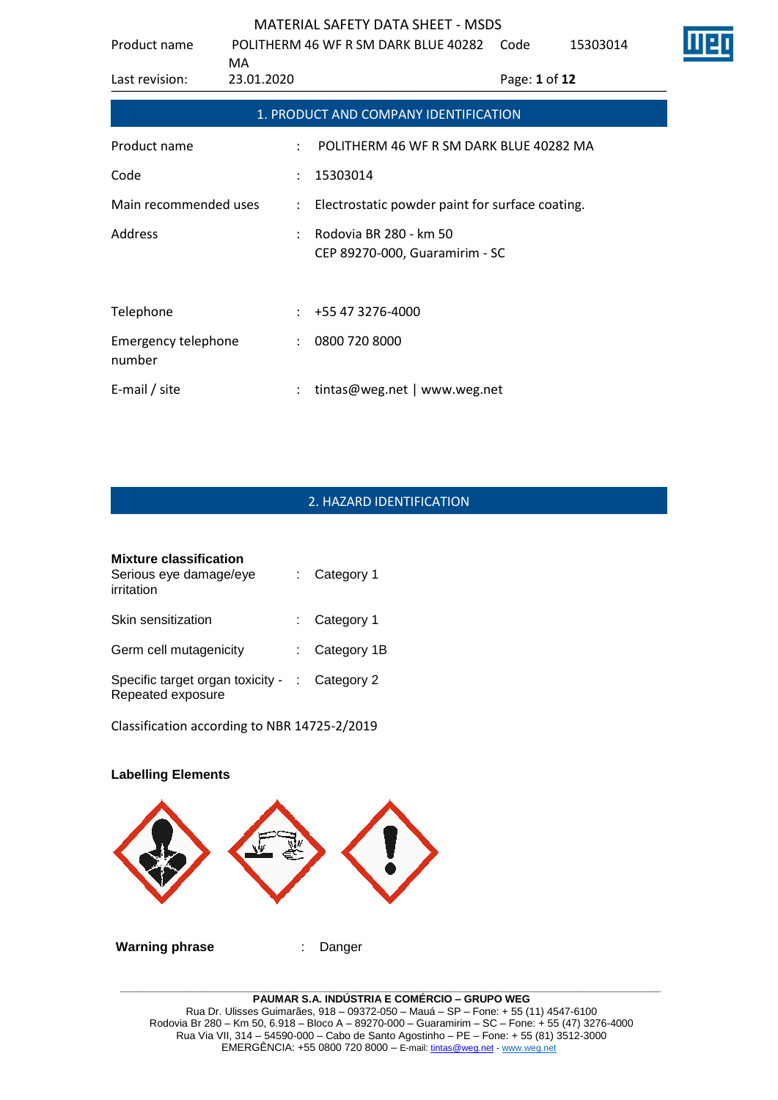| Product name                         |                      | POLITHERM 46 WF R SM DARK BLUE 40282                     | Code          | 15303014 |  |
|--------------------------------------|----------------------|----------------------------------------------------------|---------------|----------|--|
| Last revision:                       | MA.<br>23.01.2020    |                                                          | Page: 1 of 12 |          |  |
|                                      |                      | 1. PRODUCT AND COMPANY IDENTIFICATION                    |               |          |  |
| Product name                         | ÷                    | POLITHERM 46 WF R SM DARK BLUE 40282 MA                  |               |          |  |
| Code                                 |                      | 15303014                                                 |               |          |  |
| Main recommended uses                | $\ddot{\phantom{a}}$ | Electrostatic powder paint for surface coating.          |               |          |  |
| Address                              |                      | Rodovia BR 280 - km 50<br>CEP 89270-000, Guaramirim - SC |               |          |  |
| Telephone                            | $\ddot{\phantom{a}}$ | +55 47 3276-4000                                         |               |          |  |
| <b>Emergency telephone</b><br>number | ÷                    | 0800 720 8000                                            |               |          |  |
| E-mail / site                        |                      | tintas@weg.net   www.weg.net                             |               |          |  |

# 2. HAZARD IDENTIFICATION

| <b>Mixture classification</b><br>Serious eye damage/eye<br>irritation | $:$ Category 1          |
|-----------------------------------------------------------------------|-------------------------|
| Skin sensitization                                                    | $\therefore$ Category 1 |
| Germ cell mutagenicity                                                | : Category $1B$         |
| Specific target organ toxicity - : Category 2<br>Repeated exposure    |                         |

Classification according to NBR 14725-2/2019

# **Labelling Elements Warning phrase** : Danger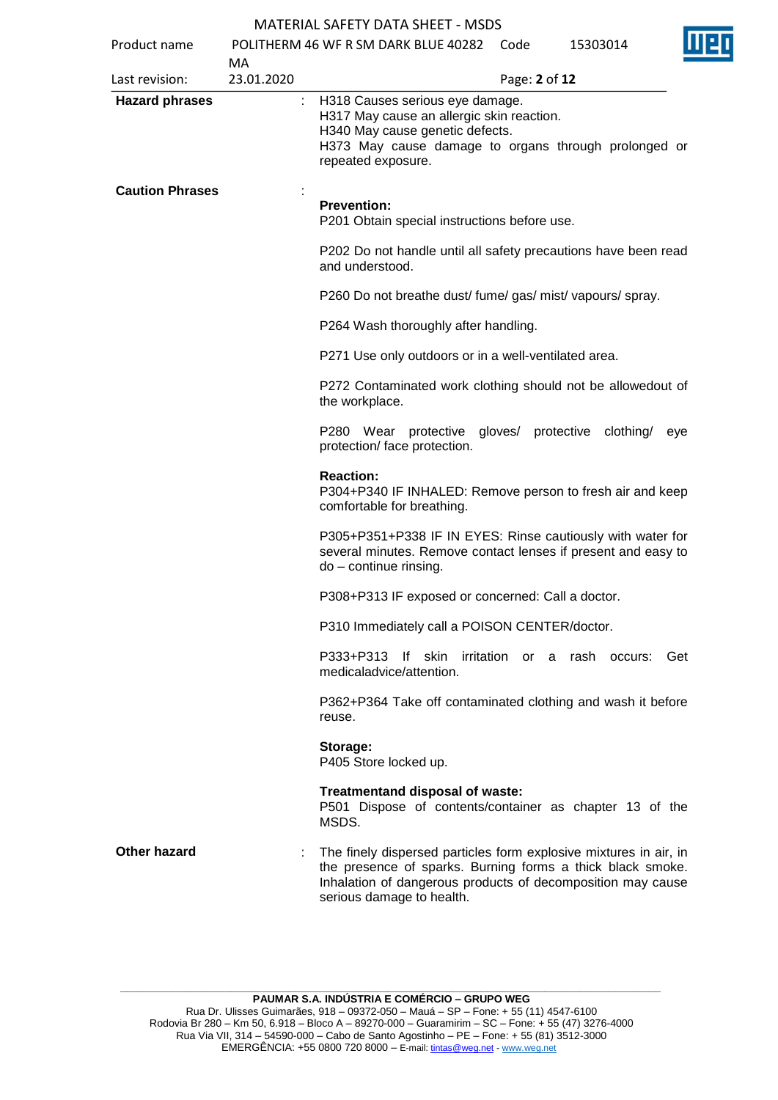| Product name           |                  | POLITHERM 46 WF R SM DARK BLUE 40282                                                                                                                                                                                        | Code    | П<br>15303014                  |
|------------------------|------------------|-----------------------------------------------------------------------------------------------------------------------------------------------------------------------------------------------------------------------------|---------|--------------------------------|
| Last revision:         | MA<br>23.01.2020 |                                                                                                                                                                                                                             |         | Page: 2 of 12                  |
| <b>Hazard phrases</b>  |                  | H318 Causes serious eye damage.<br>H317 May cause an allergic skin reaction.<br>H340 May cause genetic defects.<br>H373 May cause damage to organs through prolonged or<br>repeated exposure.                               |         |                                |
| <b>Caution Phrases</b> |                  | <b>Prevention:</b><br>P201 Obtain special instructions before use.                                                                                                                                                          |         |                                |
|                        |                  | P202 Do not handle until all safety precautions have been read<br>and understood.                                                                                                                                           |         |                                |
|                        |                  | P260 Do not breathe dust/ fume/ gas/ mist/ vapours/ spray.                                                                                                                                                                  |         |                                |
|                        |                  | P264 Wash thoroughly after handling.                                                                                                                                                                                        |         |                                |
|                        |                  | P271 Use only outdoors or in a well-ventilated area.                                                                                                                                                                        |         |                                |
|                        |                  | P272 Contaminated work clothing should not be allowedout of<br>the workplace.                                                                                                                                               |         |                                |
|                        |                  | P280 Wear protective<br>protection/ face protection.                                                                                                                                                                        | gloves/ | protective<br>clothing/<br>eye |
|                        |                  | <b>Reaction:</b><br>P304+P340 IF INHALED: Remove person to fresh air and keep<br>comfortable for breathing.                                                                                                                 |         |                                |
|                        |                  | P305+P351+P338 IF IN EYES: Rinse cautiously with water for<br>several minutes. Remove contact lenses if present and easy to<br>do - continue rinsing.                                                                       |         |                                |
|                        |                  | P308+P313 IF exposed or concerned: Call a doctor.                                                                                                                                                                           |         |                                |
|                        |                  | P310 Immediately call a POISON CENTER/doctor.                                                                                                                                                                               |         |                                |
|                        |                  | P333+P313<br>lf skin<br>irritation<br>medicaladvice/attention.                                                                                                                                                              |         | or a rash occurs:<br>Get       |
|                        |                  | P362+P364 Take off contaminated clothing and wash it before<br>reuse.                                                                                                                                                       |         |                                |
|                        |                  | Storage:<br>P405 Store locked up.                                                                                                                                                                                           |         |                                |
|                        |                  | Treatmentand disposal of waste:<br>P501 Dispose of contents/container as chapter 13 of the<br>MSDS.                                                                                                                         |         |                                |
| Other hazard           |                  | The finely dispersed particles form explosive mixtures in air, in<br>the presence of sparks. Burning forms a thick black smoke.<br>Inhalation of dangerous products of decomposition may cause<br>serious damage to health. |         |                                |
|                        |                  |                                                                                                                                                                                                                             |         |                                |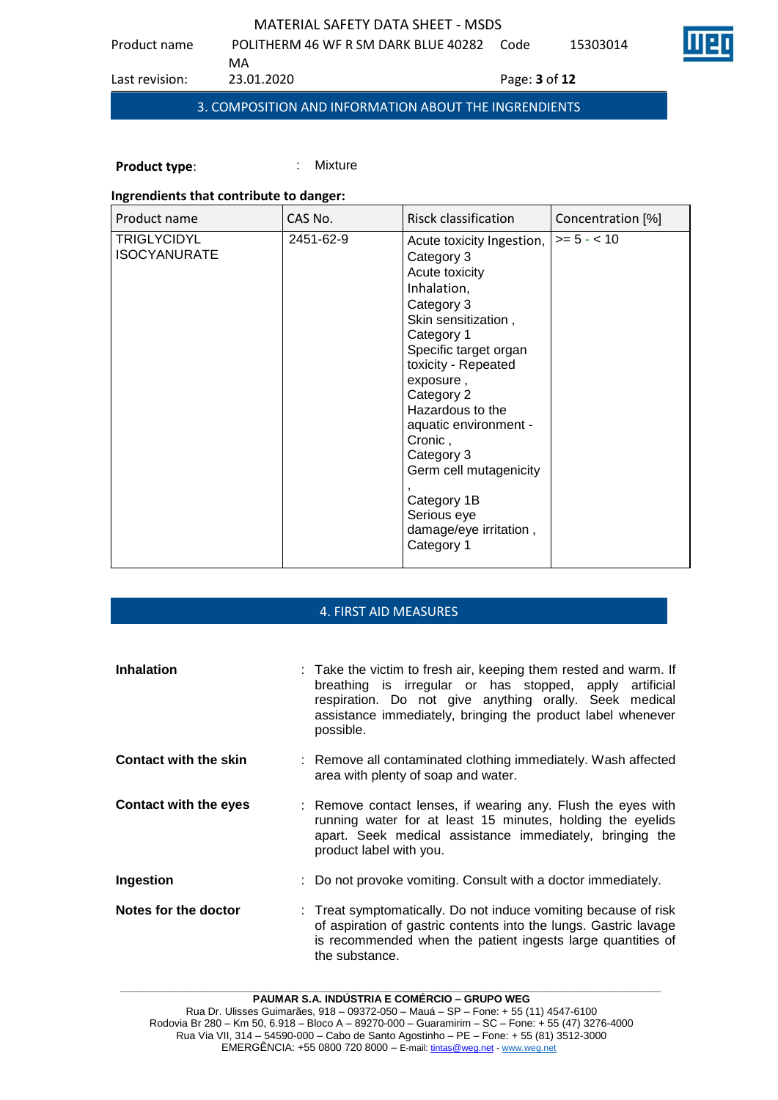Product name POLITHERM 46 WF R SM DARK BLUE 40282 MA<br>23.01.2020 15303014 Last revision: 23.01.2020 Page: **3** of **12**

3. COMPOSITION AND INFORMATION ABOUT THE INGRENDIENTS

**Product type:** : : : : : Mixture

# **Ingrendients that contribute to danger:**

| Product name                              | CAS No.   | Risck classification                                                                                                                                                                                                                                                                                                                                                         | Concentration [%] |
|-------------------------------------------|-----------|------------------------------------------------------------------------------------------------------------------------------------------------------------------------------------------------------------------------------------------------------------------------------------------------------------------------------------------------------------------------------|-------------------|
| <b>TRIGLYCIDYL</b><br><b>ISOCYANURATE</b> | 2451-62-9 | Acute toxicity Ingestion,<br>Category 3<br>Acute toxicity<br>Inhalation,<br>Category 3<br>Skin sensitization,<br>Category 1<br>Specific target organ<br>toxicity - Repeated<br>exposure,<br>Category 2<br>Hazardous to the<br>aquatic environment -<br>Cronic,<br>Category 3<br>Germ cell mutagenicity<br>Category 1B<br>Serious eye<br>damage/eye irritation,<br>Category 1 | $>= 5 - < 10$     |

# 4. FIRST AID MEASURES

| <b>Inhalation</b>            | : Take the victim to fresh air, keeping them rested and warm. If<br>breathing is irregular or has stopped, apply artificial<br>respiration. Do not give anything orally. Seek medical<br>assistance immediately, bringing the product label whenever<br>possible. |
|------------------------------|-------------------------------------------------------------------------------------------------------------------------------------------------------------------------------------------------------------------------------------------------------------------|
| <b>Contact with the skin</b> | : Remove all contaminated clothing immediately. Wash affected<br>area with plenty of soap and water.                                                                                                                                                              |
| <b>Contact with the eyes</b> | : Remove contact lenses, if wearing any. Flush the eyes with<br>running water for at least 15 minutes, holding the eyelids<br>apart. Seek medical assistance immediately, bringing the<br>product label with you.                                                 |
| Ingestion                    | Do not provoke vomiting. Consult with a doctor immediately.                                                                                                                                                                                                       |
| Notes for the doctor         | : Treat symptomatically. Do not induce vomiting because of risk<br>of aspiration of gastric contents into the lungs. Gastric lavage<br>is recommended when the patient ingests large quantities of<br>the substance.                                              |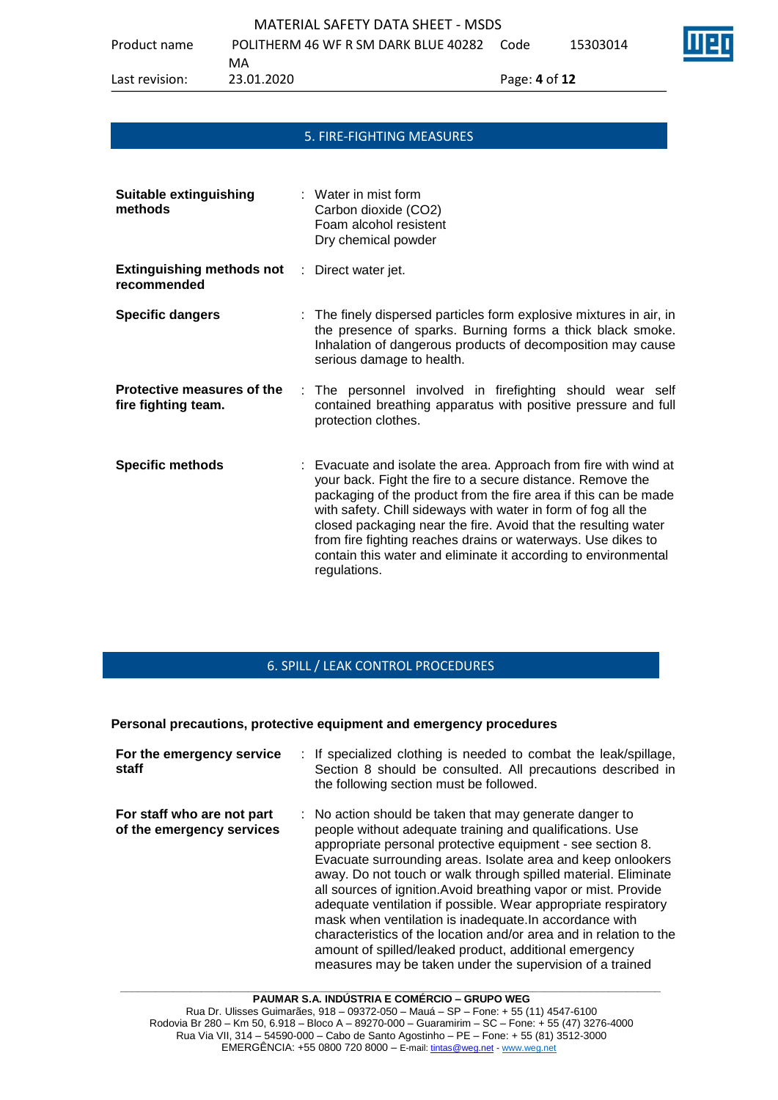| Suitable extinguishing<br>methods                 | $\therefore$ Water in mist form<br>Carbon dioxide (CO2)<br>Foam alcohol resistent<br>Dry chemical powder                                                                                                                                                                                                                                                                                                                                                                               |
|---------------------------------------------------|----------------------------------------------------------------------------------------------------------------------------------------------------------------------------------------------------------------------------------------------------------------------------------------------------------------------------------------------------------------------------------------------------------------------------------------------------------------------------------------|
| <b>Extinguishing methods not</b><br>recommended   | : Direct water jet.                                                                                                                                                                                                                                                                                                                                                                                                                                                                    |
| <b>Specific dangers</b>                           | : The finely dispersed particles form explosive mixtures in air, in<br>the presence of sparks. Burning forms a thick black smoke.<br>Inhalation of dangerous products of decomposition may cause<br>serious damage to health.                                                                                                                                                                                                                                                          |
| Protective measures of the<br>fire fighting team. | : The personnel involved in firefighting should wear self<br>contained breathing apparatus with positive pressure and full<br>protection clothes.                                                                                                                                                                                                                                                                                                                                      |
| <b>Specific methods</b>                           | : Evacuate and isolate the area. Approach from fire with wind at<br>your back. Fight the fire to a secure distance. Remove the<br>packaging of the product from the fire area if this can be made<br>with safety. Chill sideways with water in form of fog all the<br>closed packaging near the fire. Avoid that the resulting water<br>from fire fighting reaches drains or waterways. Use dikes to<br>contain this water and eliminate it according to environmental<br>regulations. |

# 6. SPILL / LEAK CONTROL PROCEDURES

### **Personal precautions, protective equipment and emergency procedures**

| For the emergency service<br>staff                      | : If specialized clothing is needed to combat the leak/spillage,<br>Section 8 should be consulted. All precautions described in<br>the following section must be followed.                                                                                                                                                                                                                                                                                                                                                                                                                                                                                                                                     |
|---------------------------------------------------------|----------------------------------------------------------------------------------------------------------------------------------------------------------------------------------------------------------------------------------------------------------------------------------------------------------------------------------------------------------------------------------------------------------------------------------------------------------------------------------------------------------------------------------------------------------------------------------------------------------------------------------------------------------------------------------------------------------------|
| For staff who are not part<br>of the emergency services | : No action should be taken that may generate danger to<br>people without adequate training and qualifications. Use<br>appropriate personal protective equipment - see section 8.<br>Evacuate surrounding areas. Isolate area and keep onlookers<br>away. Do not touch or walk through spilled material. Eliminate<br>all sources of ignition. Avoid breathing vapor or mist. Provide<br>adequate ventilation if possible. Wear appropriate respiratory<br>mask when ventilation is inadequate. In accordance with<br>characteristics of the location and/or area and in relation to the<br>amount of spilled/leaked product, additional emergency<br>measures may be taken under the supervision of a trained |

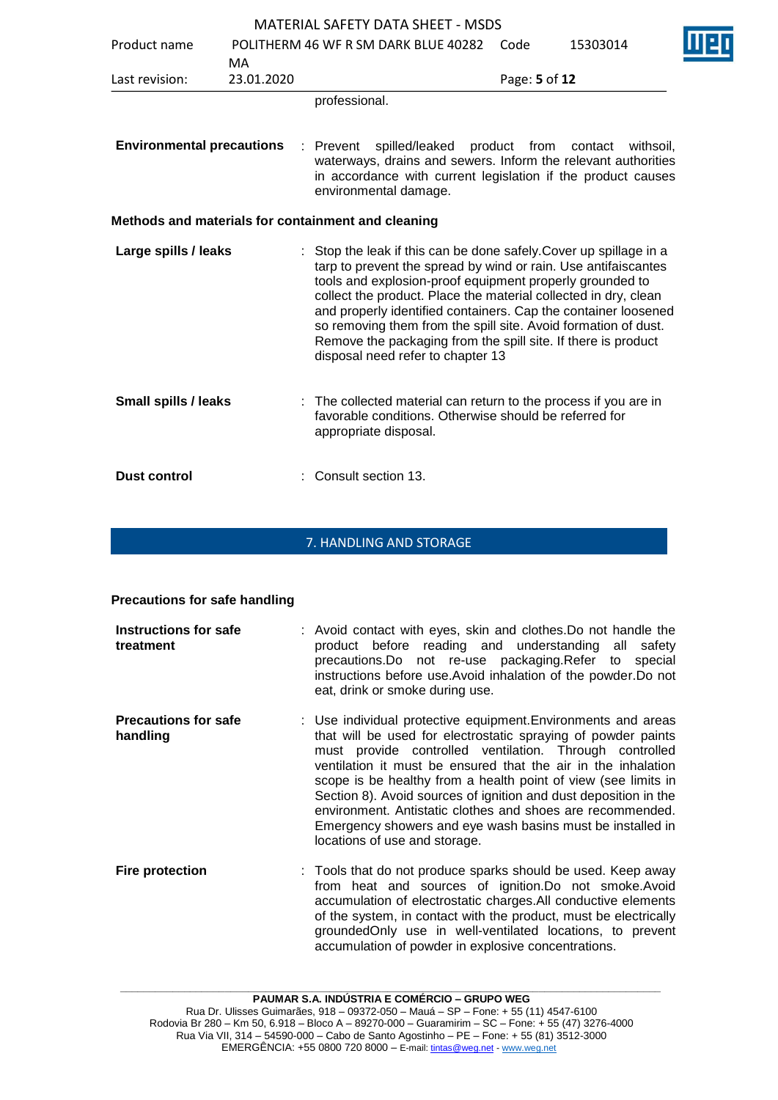| Product name                     |                  | POLITHERM 46 WF R SM DARK BLUE 40282                                                                                                                                                                                                                                                                                                                                                                                                                                                                        | Code          | 15303014  |  |
|----------------------------------|------------------|-------------------------------------------------------------------------------------------------------------------------------------------------------------------------------------------------------------------------------------------------------------------------------------------------------------------------------------------------------------------------------------------------------------------------------------------------------------------------------------------------------------|---------------|-----------|--|
| Last revision:                   | MA<br>23.01.2020 |                                                                                                                                                                                                                                                                                                                                                                                                                                                                                                             | Page: 5 of 12 |           |  |
|                                  |                  | professional.                                                                                                                                                                                                                                                                                                                                                                                                                                                                                               |               |           |  |
| <b>Environmental precautions</b> |                  | : Prevent spilled/leaked product from contact<br>waterways, drains and sewers. Inform the relevant authorities<br>in accordance with current legislation if the product causes<br>environmental damage.                                                                                                                                                                                                                                                                                                     |               | withsoil, |  |
|                                  |                  | Methods and materials for containment and cleaning                                                                                                                                                                                                                                                                                                                                                                                                                                                          |               |           |  |
| Large spills / leaks             |                  | Stop the leak if this can be done safely. Cover up spillage in a<br>tarp to prevent the spread by wind or rain. Use antifaiscantes<br>tools and explosion-proof equipment properly grounded to<br>collect the product. Place the material collected in dry, clean<br>and properly identified containers. Cap the container loosened<br>so removing them from the spill site. Avoid formation of dust.<br>Remove the packaging from the spill site. If there is product<br>disposal need refer to chapter 13 |               |           |  |
| <b>Small spills / leaks</b>      |                  | The collected material can return to the process if you are in<br>favorable conditions. Otherwise should be referred for<br>appropriate disposal.                                                                                                                                                                                                                                                                                                                                                           |               |           |  |
| <b>Dust control</b>              |                  | Consult section 13.                                                                                                                                                                                                                                                                                                                                                                                                                                                                                         |               |           |  |

# 7. HANDLING AND STORAGE

# **Precautions for safe handling**

| Instructions for safe<br>treatment      | : Avoid contact with eyes, skin and clothes. Do not handle the<br>product before reading and understanding all safety<br>precautions. Do not re-use packaging. Refer to special<br>instructions before use. Avoid inhalation of the powder. Do not<br>eat, drink or smoke during use.                                                                                                                                                                                                                                                                         |
|-----------------------------------------|---------------------------------------------------------------------------------------------------------------------------------------------------------------------------------------------------------------------------------------------------------------------------------------------------------------------------------------------------------------------------------------------------------------------------------------------------------------------------------------------------------------------------------------------------------------|
| <b>Precautions for safe</b><br>handling | : Use individual protective equipment. Environments and areas<br>that will be used for electrostatic spraying of powder paints<br>must provide controlled ventilation. Through controlled<br>ventilation it must be ensured that the air in the inhalation<br>scope is be healthy from a health point of view (see limits in<br>Section 8). Avoid sources of ignition and dust deposition in the<br>environment. Antistatic clothes and shoes are recommended.<br>Emergency showers and eye wash basins must be installed in<br>locations of use and storage. |
| <b>Fire protection</b>                  | : Tools that do not produce sparks should be used. Keep away<br>from heat and sources of ignition.Do not smoke.Avoid<br>accumulation of electrostatic charges. All conductive elements                                                                                                                                                                                                                                                                                                                                                                        |

of the system, in contact with the product, must be electrically groundedOnly use in well-ventilated locations, to prevent

accumulation of powder in explosive concentrations.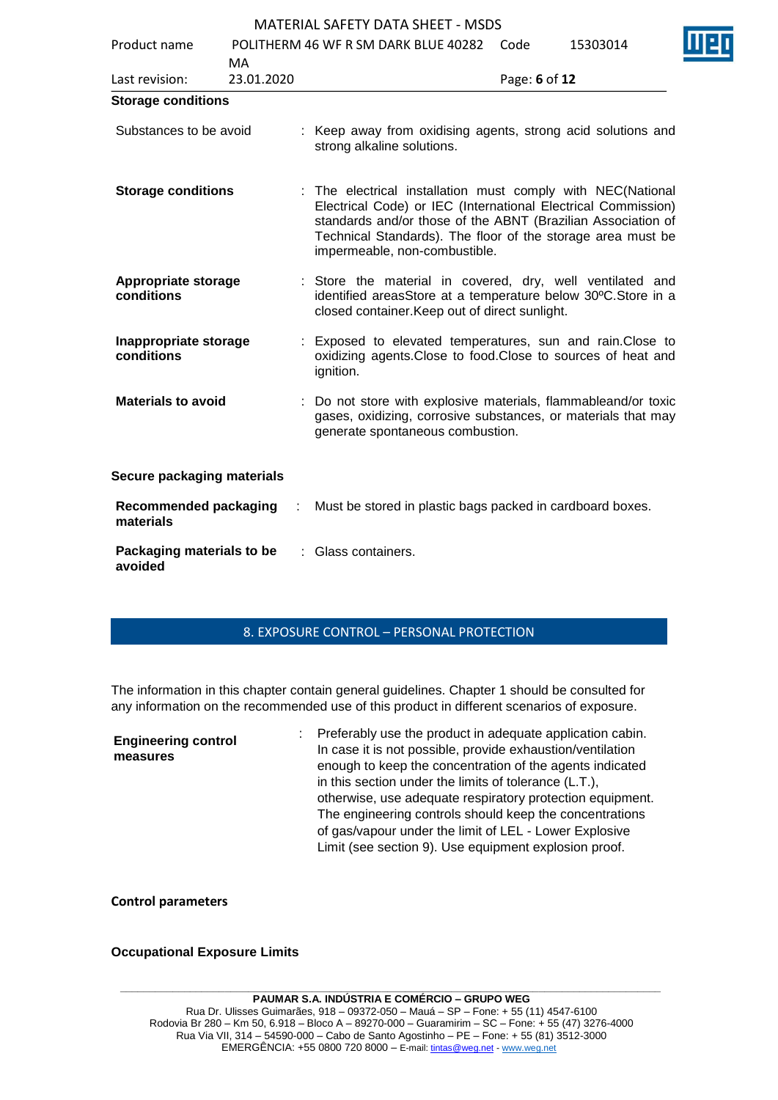|                                           |            | <u>IVIA LENIAE JAI ETT DATA JITEET</u>                                                                                                                                                                                                                                                       |               |          |  |
|-------------------------------------------|------------|----------------------------------------------------------------------------------------------------------------------------------------------------------------------------------------------------------------------------------------------------------------------------------------------|---------------|----------|--|
| Product name                              |            | POLITHERM 46 WF R SM DARK BLUE 40282 Code                                                                                                                                                                                                                                                    |               | 15303014 |  |
|                                           | MA         |                                                                                                                                                                                                                                                                                              |               |          |  |
| Last revision:                            | 23.01.2020 |                                                                                                                                                                                                                                                                                              | Page: 6 of 12 |          |  |
| <b>Storage conditions</b>                 |            |                                                                                                                                                                                                                                                                                              |               |          |  |
| Substances to be avoid                    |            | : Keep away from oxidising agents, strong acid solutions and<br>strong alkaline solutions.                                                                                                                                                                                                   |               |          |  |
| <b>Storage conditions</b>                 |            | : The electrical installation must comply with NEC(National<br>Electrical Code) or IEC (International Electrical Commission)<br>standards and/or those of the ABNT (Brazilian Association of<br>Technical Standards). The floor of the storage area must be<br>impermeable, non-combustible. |               |          |  |
| Appropriate storage<br>conditions         |            | : Store the material in covered, dry, well ventilated and<br>identified areasStore at a temperature below 30°C.Store in a<br>closed container. Keep out of direct sunlight.                                                                                                                  |               |          |  |
| Inappropriate storage<br>conditions       |            | Exposed to elevated temperatures, sun and rain. Close to<br>oxidizing agents. Close to food. Close to sources of heat and<br>ignition.                                                                                                                                                       |               |          |  |
| <b>Materials to avoid</b>                 |            | Do not store with explosive materials, flammableand/or toxic<br>gases, oxidizing, corrosive substances, or materials that may<br>generate spontaneous combustion.                                                                                                                            |               |          |  |
| Secure packaging materials                |            |                                                                                                                                                                                                                                                                                              |               |          |  |
| <b>Recommended packaging</b><br>materials | $\sim$ 1.  | Must be stored in plastic bags packed in cardboard boxes.                                                                                                                                                                                                                                    |               |          |  |
| Packaging materials to be<br>avoided      |            | : Glass containers.                                                                                                                                                                                                                                                                          |               |          |  |

# 8. EXPOSURE CONTROL – PERSONAL PROTECTION

The information in this chapter contain general guidelines. Chapter 1 should be consulted for any information on the recommended use of this product in different scenarios of exposure.

| <b>Engineering control</b><br>In case it is not possible, provide exhaustion/ventilation<br>measures<br>enough to keep the concentration of the agents indicated<br>in this section under the limits of tolerance (L.T.),<br>otherwise, use adequate respiratory protection equipment.<br>The engineering controls should keep the concentrations<br>of gas/vapour under the limit of LEL - Lower Explosive<br>Limit (see section 9). Use equipment explosion proof. |  |
|----------------------------------------------------------------------------------------------------------------------------------------------------------------------------------------------------------------------------------------------------------------------------------------------------------------------------------------------------------------------------------------------------------------------------------------------------------------------|--|
|----------------------------------------------------------------------------------------------------------------------------------------------------------------------------------------------------------------------------------------------------------------------------------------------------------------------------------------------------------------------------------------------------------------------------------------------------------------------|--|

**Control parameters**

### **Occupational Exposure Limits**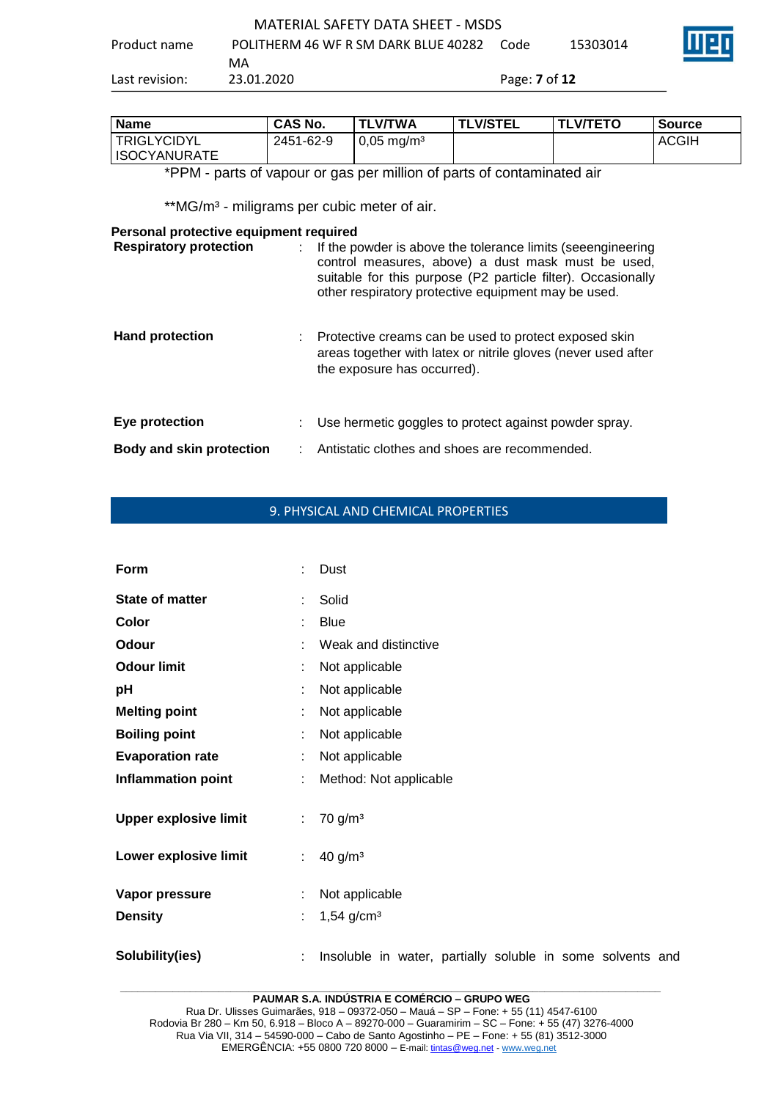| Product name   | POLITHERM 46 WF R SM DARK BLUE 40282 | Code                        | 15303014 |  |
|----------------|--------------------------------------|-----------------------------|----------|--|
|                | МA                                   |                             |          |  |
| Last revision: | 23.01.2020                           | Page: <b>7</b> of <b>12</b> |          |  |

| <b>Name</b>         | CAS No.   | <b>TLV/TWA</b>        | <b>TLV/STEL</b> | <b>TLV/TETO</b> | <b>Source</b> |
|---------------------|-----------|-----------------------|-----------------|-----------------|---------------|
| <b>TRIGLYCIDYL</b>  | 2451-62-9 | $0,05 \text{ mg/m}^3$ |                 |                 | ACGIH         |
| <b>ISOCYANURATE</b> |           |                       |                 |                 |               |

\*PPM - parts of vapour or gas per million of parts of contaminated air

\*\*MG/m<sup>3</sup> - miligrams per cubic meter of air.

### **Personal protective equipment required**

| <b>Respiratory protection</b>   | If the powder is above the tolerance limits (seeengineering<br>control measures, above) a dust mask must be used,<br>suitable for this purpose (P2 particle filter). Occasionally<br>other respiratory protective equipment may be used. |
|---------------------------------|------------------------------------------------------------------------------------------------------------------------------------------------------------------------------------------------------------------------------------------|
| <b>Hand protection</b>          | : Protective creams can be used to protect exposed skin<br>areas together with latex or nitrile gloves (never used after<br>the exposure has occurred).                                                                                  |
| Eye protection                  | Use hermetic goggles to protect against powder spray.                                                                                                                                                                                    |
| <b>Body and skin protection</b> | Antistatic clothes and shoes are recommended.                                                                                                                                                                                            |

# 9. PHYSICAL AND CHEMICAL PROPERTIES

| <b>Form</b>                  |    | Dust                                                       |
|------------------------------|----|------------------------------------------------------------|
| <b>State of matter</b>       |    | Solid                                                      |
| Color                        |    | <b>Blue</b>                                                |
| Odour                        |    | Weak and distinctive                                       |
| <b>Odour limit</b>           |    | Not applicable                                             |
| pH                           |    | Not applicable                                             |
| <b>Melting point</b>         |    | Not applicable                                             |
| <b>Boiling point</b>         |    | Not applicable                                             |
| <b>Evaporation rate</b>      |    | Not applicable                                             |
| <b>Inflammation point</b>    |    | Method: Not applicable                                     |
| <b>Upper explosive limit</b> | ÷. | 70 g/m <sup>3</sup>                                        |
| Lower explosive limit        | ÷. | 40 $g/m3$                                                  |
| Vapor pressure               |    | Not applicable                                             |
| <b>Density</b>               |    | $1,54$ g/cm <sup>3</sup>                                   |
| Solubility(ies)              |    | Insoluble in water, partially soluble in some solvents and |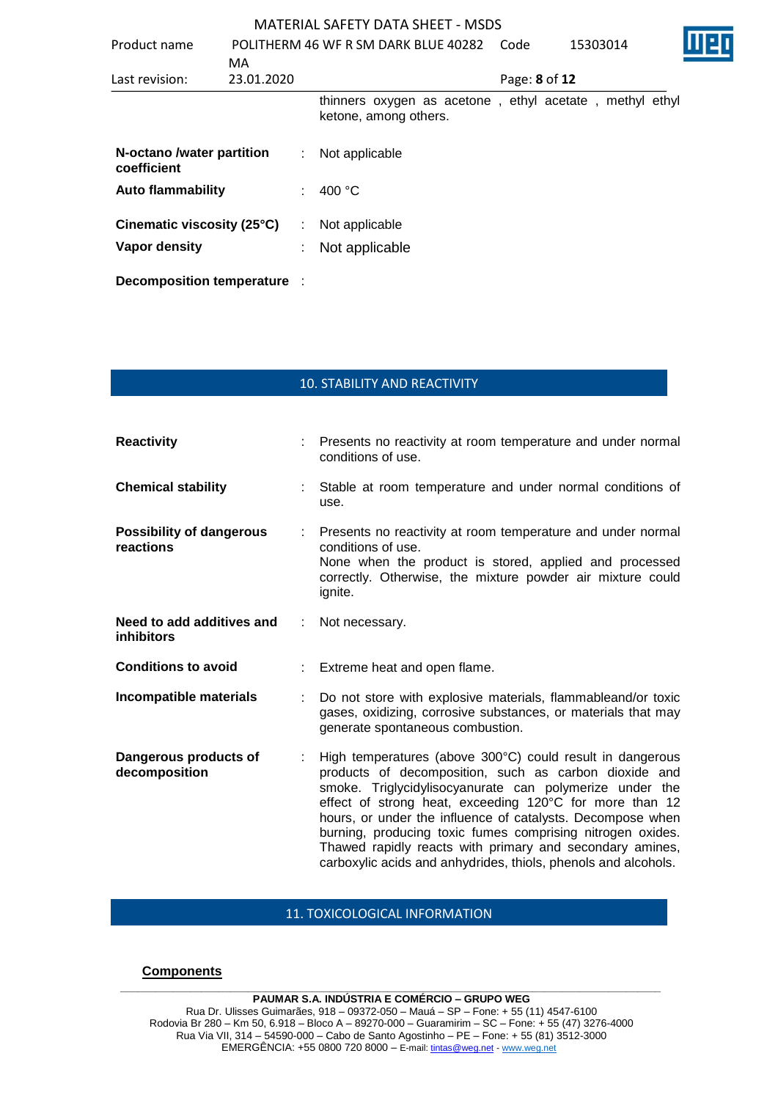| Product name                             | MA         |    | POLITHERM 46 WF R SM DARK BLUE 40282                                             | Code          | 15303014 |  |
|------------------------------------------|------------|----|----------------------------------------------------------------------------------|---------------|----------|--|
| Last revision:                           | 23.01.2020 |    |                                                                                  | Page: 8 of 12 |          |  |
|                                          |            |    | thinners oxygen as acetone, ethyl acetate, methyl ethyl<br>ketone, among others. |               |          |  |
| N-octano /water partition<br>coefficient |            | ÷  | Not applicable                                                                   |               |          |  |
| <b>Auto flammability</b>                 |            | ÷. | 400 $\degree$ C                                                                  |               |          |  |
| Cinematic viscosity (25°C)               |            | ÷  | Not applicable                                                                   |               |          |  |
| Vapor density                            |            |    | Not applicable                                                                   |               |          |  |
| Decomposition temperature :              |            |    |                                                                                  |               |          |  |

# 10. STABILITY AND REACTIVITY

| <b>Reactivity</b>                              |    | Presents no reactivity at room temperature and under normal<br>conditions of use.                                                                                                                                                                                                                                                                                                                                                                                                                  |
|------------------------------------------------|----|----------------------------------------------------------------------------------------------------------------------------------------------------------------------------------------------------------------------------------------------------------------------------------------------------------------------------------------------------------------------------------------------------------------------------------------------------------------------------------------------------|
| <b>Chemical stability</b>                      |    | Stable at room temperature and under normal conditions of<br>use.                                                                                                                                                                                                                                                                                                                                                                                                                                  |
| <b>Possibility of dangerous</b><br>reactions   |    | Presents no reactivity at room temperature and under normal<br>conditions of use.<br>None when the product is stored, applied and processed<br>correctly. Otherwise, the mixture powder air mixture could<br>ignite.                                                                                                                                                                                                                                                                               |
| Need to add additives and<br><b>inhibitors</b> | ÷. | Not necessary.                                                                                                                                                                                                                                                                                                                                                                                                                                                                                     |
| <b>Conditions to avoid</b>                     |    | Extreme heat and open flame.                                                                                                                                                                                                                                                                                                                                                                                                                                                                       |
| Incompatible materials                         |    | Do not store with explosive materials, flammableand/or toxic<br>gases, oxidizing, corrosive substances, or materials that may<br>generate spontaneous combustion.                                                                                                                                                                                                                                                                                                                                  |
| Dangerous products of<br>decomposition         |    | High temperatures (above 300°C) could result in dangerous<br>products of decomposition, such as carbon dioxide and<br>smoke. Triglycidylisocyanurate can polymerize under the<br>effect of strong heat, exceeding 120°C for more than 12<br>hours, or under the influence of catalysts. Decompose when<br>burning, producing toxic fumes comprising nitrogen oxides.<br>Thawed rapidly reacts with primary and secondary amines,<br>carboxylic acids and anhydrides, thiols, phenols and alcohols. |

# 11. TOXICOLOGICAL INFORMATION

### **Components**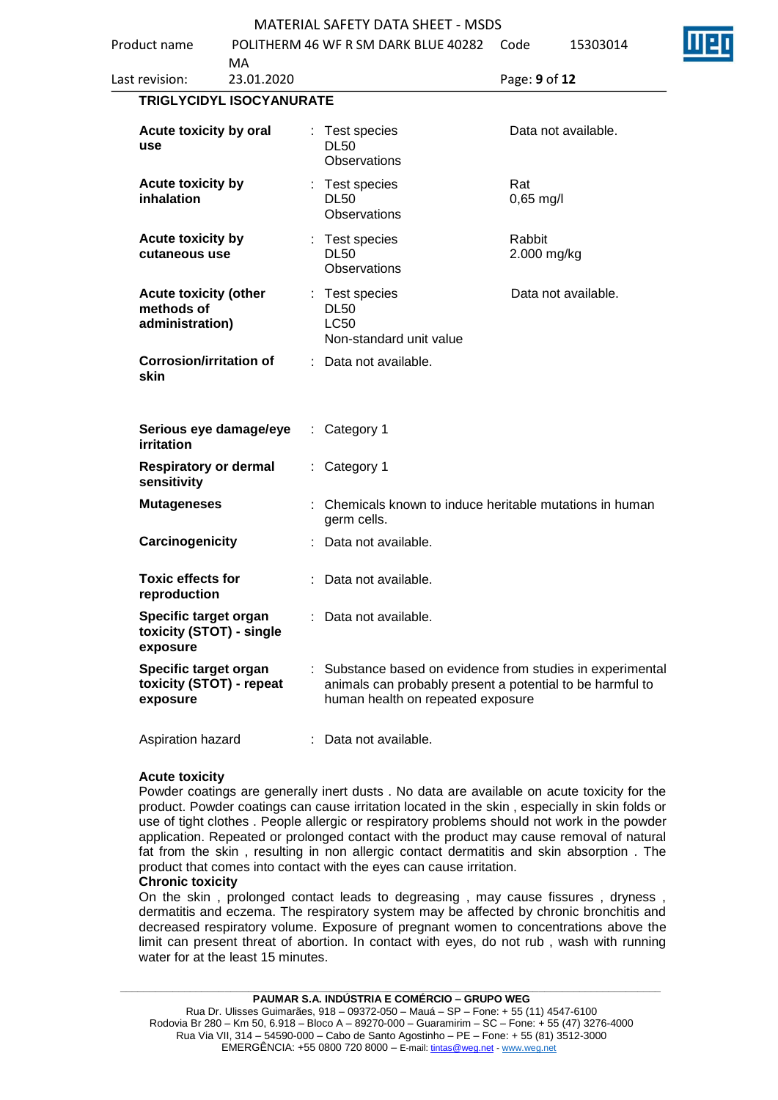|                                                               |                          | MATERIAL SAFETY DATA SHEET - MSDS                                                                                                                            |                       |                     |
|---------------------------------------------------------------|--------------------------|--------------------------------------------------------------------------------------------------------------------------------------------------------------|-----------------------|---------------------|
| Product name                                                  |                          | POLITHERM 46 WF R SM DARK BLUE 40282                                                                                                                         | Code                  | 15303014            |
|                                                               | MA                       |                                                                                                                                                              |                       |                     |
| Last revision:                                                | 23.01.2020               |                                                                                                                                                              | Page: 9 of 12         |                     |
|                                                               | TRIGLYCIDYL ISOCYANURATE |                                                                                                                                                              |                       |                     |
| Acute toxicity by oral<br>use                                 |                          | : Test species<br><b>DL50</b><br>Observations                                                                                                                |                       | Data not available. |
| <b>Acute toxicity by</b><br>inhalation                        |                          | : Test species<br><b>DL50</b><br>Observations                                                                                                                | Rat<br>$0,65$ mg/l    |                     |
| Acute toxicity by<br>cutaneous use                            |                          | Test species<br><b>DL50</b><br>Observations                                                                                                                  | Rabbit<br>2.000 mg/kg |                     |
| <b>Acute toxicity (other</b><br>methods of<br>administration) |                          | : Test species<br><b>DL50</b><br><b>LC50</b><br>Non-standard unit value                                                                                      |                       | Data not available. |
| <b>Corrosion/irritation of</b><br>skin                        |                          | : Data not available.                                                                                                                                        |                       |                     |
| Serious eye damage/eye<br><b>irritation</b>                   |                          | $:$ Category 1                                                                                                                                               |                       |                     |
| <b>Respiratory or dermal</b><br>sensitivity                   |                          | : Category 1                                                                                                                                                 |                       |                     |
| <b>Mutageneses</b>                                            |                          | : Chemicals known to induce heritable mutations in human<br>germ cells.                                                                                      |                       |                     |
| Carcinogenicity                                               |                          | : Data not available.                                                                                                                                        |                       |                     |
| <b>Toxic effects for</b><br>reproduction                      |                          | Data not available.                                                                                                                                          |                       |                     |
| Specific target organ<br>toxicity (STOT) - single<br>exposure |                          | Data not available.                                                                                                                                          |                       |                     |
| Specific target organ<br>toxicity (STOT) - repeat<br>exposure |                          | : Substance based on evidence from studies in experimental<br>animals can probably present a potential to be harmful to<br>human health on repeated exposure |                       |                     |
| Aspiration hazard                                             |                          | Data not available.                                                                                                                                          |                       |                     |

### **Acute toxicity**

Powder coatings are generally inert dusts . No data are available on acute toxicity for the product. Powder coatings can cause irritation located in the skin , especially in skin folds or use of tight clothes . People allergic or respiratory problems should not work in the powder application. Repeated or prolonged contact with the product may cause removal of natural fat from the skin , resulting in non allergic contact dermatitis and skin absorption . The product that comes into contact with the eyes can cause irritation.

### **Chronic toxicity**

On the skin , prolonged contact leads to degreasing , may cause fissures , dryness , dermatitis and eczema. The respiratory system may be affected by chronic bronchitis and decreased respiratory volume. Exposure of pregnant women to concentrations above the limit can present threat of abortion. In contact with eyes, do not rub , wash with running water for at the least 15 minutes.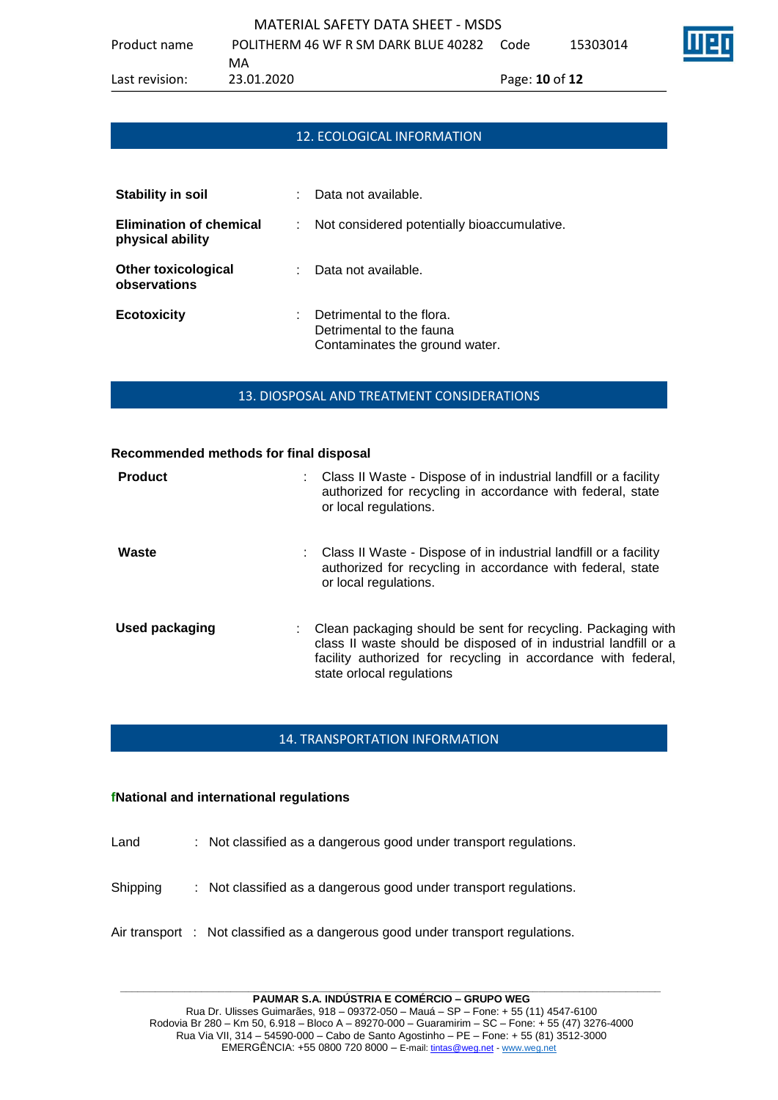# 12. ECOLOGICAL INFORMATION

| <b>Stability in soil</b>                           | Data not available.                                                                     |
|----------------------------------------------------|-----------------------------------------------------------------------------------------|
| <b>Elimination of chemical</b><br>physical ability | Not considered potentially bioaccumulative.                                             |
| <b>Other toxicological</b><br>observations         | Data not available.                                                                     |
| <b>Ecotoxicity</b>                                 | Detrimental to the flora.<br>Detrimental to the fauna<br>Contaminates the ground water. |

# 13. DIOSPOSAL AND TREATMENT CONSIDERATIONS

# **Recommended methods for final disposal Product** : Class II Waste - Dispose of in industrial landfill or a facility authorized for recycling in accordance with federal, state or local regulations. **Waste** : Class II Waste - Dispose of in industrial landfill or a facility authorized for recycling in accordance with federal, state or local regulations. **Used packaging** : Clean packaging should be sent for recycling. Packaging with class II waste should be disposed of in industrial landfill or a facility authorized for recycling in accordance with federal, state orlocal regulations

## 14. TRANSPORTATION INFORMATION

### **fNational and international regulations**

Land : Not classified as a dangerous good under transport regulations.

- Shipping : Not classified as a dangerous good under transport regulations.
- Air transport : Not classified as a dangerous good under transport regulations.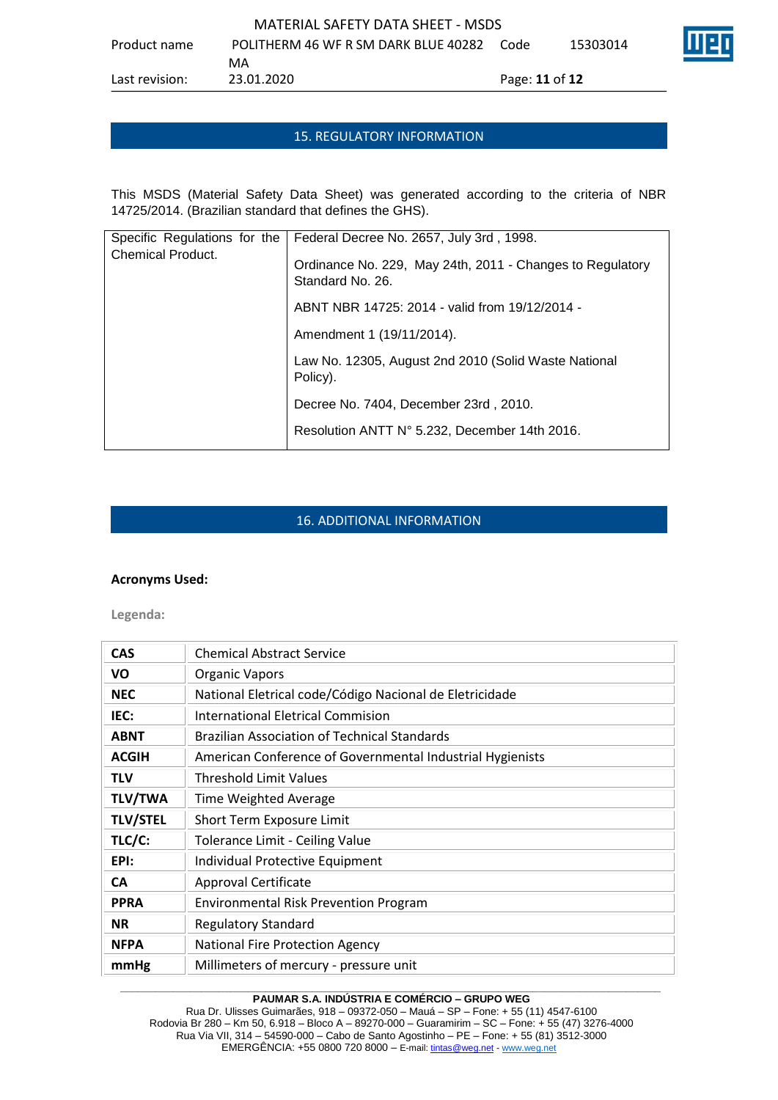| MATERIAL SAFETY DATA SHEET - MSDS |                                           |                       |          |  |  |  |  |
|-----------------------------------|-------------------------------------------|-----------------------|----------|--|--|--|--|
| Product name                      | POLITHERM 46 WF R SM DARK BLUE 40282 Code |                       | 15303014 |  |  |  |  |
|                                   | MA                                        |                       |          |  |  |  |  |
| Last revision:                    | 23.01.2020                                | Page: <b>11 of 12</b> |          |  |  |  |  |

# 15. REGULATORY INFORMATION

This MSDS (Material Safety Data Sheet) was generated according to the criteria of NBR 14725/2014. (Brazilian standard that defines the GHS).

| Specific Regulations for the<br><b>Chemical Product.</b> | Federal Decree No. 2657, July 3rd, 1998.                                      |
|----------------------------------------------------------|-------------------------------------------------------------------------------|
|                                                          | Ordinance No. 229, May 24th, 2011 - Changes to Regulatory<br>Standard No. 26. |
|                                                          | ABNT NBR 14725: 2014 - valid from 19/12/2014 -                                |
|                                                          | Amendment 1 (19/11/2014).                                                     |
|                                                          | Law No. 12305, August 2nd 2010 (Solid Waste National<br>Policy).              |
|                                                          | Decree No. 7404, December 23rd, 2010.                                         |
|                                                          | Resolution ANTT N° 5.232, December 14th 2016.                                 |

# 16. ADDITIONAL INFORMATION

### **Acronyms Used:**

**Legenda:**

| <b>CAS</b>      | <b>Chemical Abstract Service</b>                          |
|-----------------|-----------------------------------------------------------|
| VO              | Organic Vapors                                            |
| <b>NEC</b>      | National Eletrical code/Código Nacional de Eletricidade   |
| IEC:            | International Eletrical Commision                         |
| <b>ABNT</b>     | <b>Brazilian Association of Technical Standards</b>       |
| <b>ACGIH</b>    | American Conference of Governmental Industrial Hygienists |
| <b>TLV</b>      | <b>Threshold Limit Values</b>                             |
| <b>TLV/TWA</b>  | Time Weighted Average                                     |
| <b>TLV/STEL</b> | Short Term Exposure Limit                                 |
| TLC/C:          | Tolerance Limit - Ceiling Value                           |
| EPI:            | Individual Protective Equipment                           |
| <b>CA</b>       | <b>Approval Certificate</b>                               |
| <b>PPRA</b>     | <b>Environmental Risk Prevention Program</b>              |
| <b>NR</b>       | <b>Regulatory Standard</b>                                |
| <b>NFPA</b>     | <b>National Fire Protection Agency</b>                    |
| mmHg            | Millimeters of mercury - pressure unit                    |

### **\_\_\_\_\_\_\_\_\_\_\_\_\_\_\_\_\_\_\_\_\_\_\_\_\_\_\_\_\_\_\_\_\_\_\_\_\_\_\_\_\_\_\_\_\_\_\_\_\_\_\_\_\_\_\_\_\_\_\_\_\_\_\_\_\_\_\_\_\_\_\_\_\_\_\_\_\_\_\_\_\_\_\_\_\_\_\_\_\_\_\_\_\_ PAUMAR S.A. INDÚSTRIA E COMÉRCIO – GRUPO WEG**